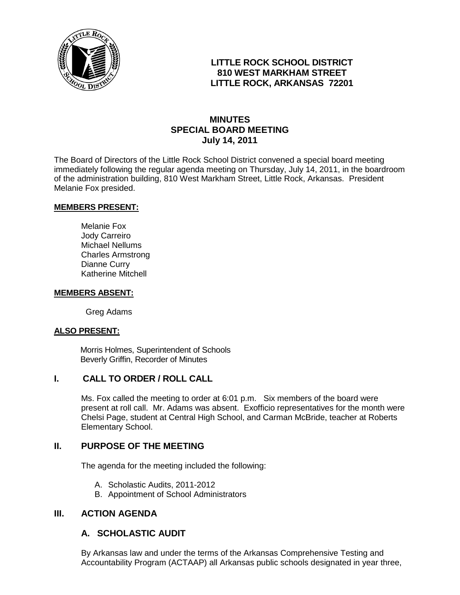

# **LITTLE ROCK SCHOOL DISTRICT 810 WEST MARKHAM STREET LITTLE ROCK, ARKANSAS 72201**

# **MINUTES SPECIAL BOARD MEETING July 14, 2011**

The Board of Directors of the Little Rock School District convened a special board meeting immediately following the regular agenda meeting on Thursday, July 14, 2011, in the boardroom of the administration building, 810 West Markham Street, Little Rock, Arkansas. President Melanie Fox presided.

#### **MEMBERS PRESENT:**

Melanie Fox Jody Carreiro Michael Nellums Charles Armstrong Dianne Curry Katherine Mitchell

#### **MEMBERS ABSENT:**

Greg Adams

#### **ALSO PRESENT:**

 Morris Holmes, Superintendent of Schools Beverly Griffin, Recorder of Minutes

## **I. CALL TO ORDER / ROLL CALL**

Ms. Fox called the meeting to order at 6:01 p.m. Six members of the board were present at roll call. Mr. Adams was absent. Exofficio representatives for the month were Chelsi Page, student at Central High School, and Carman McBride, teacher at Roberts Elementary School.

#### **II. PURPOSE OF THE MEETING**

The agenda for the meeting included the following:

- A. Scholastic Audits, 2011-2012
- B. Appointment of School Administrators

# **III. ACTION AGENDA**

## **A. SCHOLASTIC AUDIT**

By Arkansas law and under the terms of the Arkansas Comprehensive Testing and Accountability Program (ACTAAP) all Arkansas public schools designated in year three,